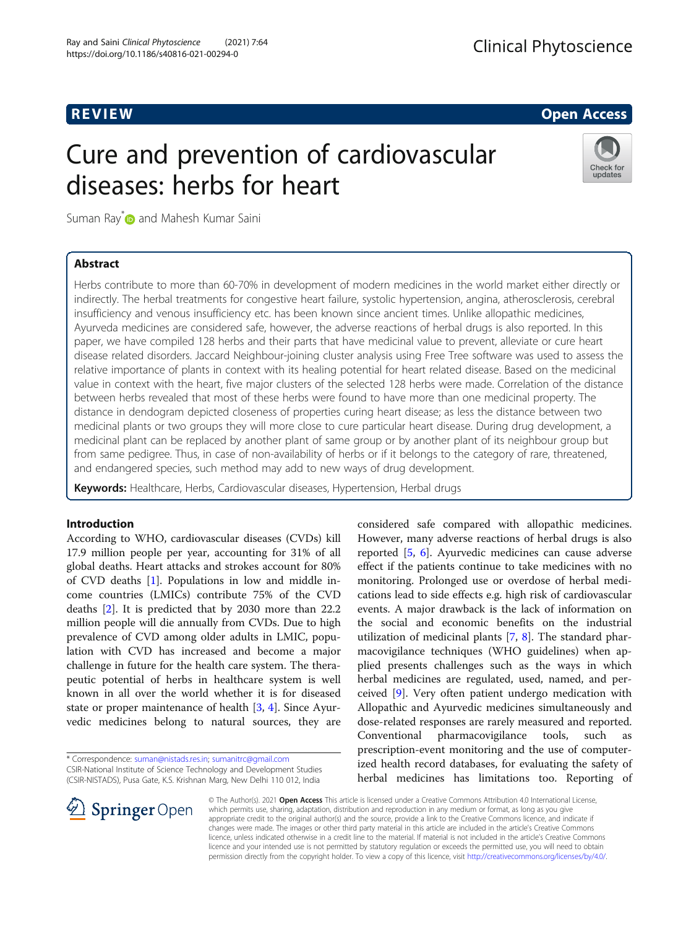R EVI EW Open Access

# Cure and prevention of cardiovascular diseases: herbs for heart



Suman Ray<sup>[\\*](http://orcid.org/0000-0002-9293-7591)</sup> and Mahesh Kumar Saini

# Abstract

Herbs contribute to more than 60-70% in development of modern medicines in the world market either directly or indirectly. The herbal treatments for congestive heart failure, systolic hypertension, angina, atherosclerosis, cerebral insufficiency and venous insufficiency etc. has been known since ancient times. Unlike allopathic medicines, Ayurveda medicines are considered safe, however, the adverse reactions of herbal drugs is also reported. In this paper, we have compiled 128 herbs and their parts that have medicinal value to prevent, alleviate or cure heart disease related disorders. Jaccard Neighbour-joining cluster analysis using Free Tree software was used to assess the relative importance of plants in context with its healing potential for heart related disease. Based on the medicinal value in context with the heart, five major clusters of the selected 128 herbs were made. Correlation of the distance between herbs revealed that most of these herbs were found to have more than one medicinal property. The distance in dendogram depicted closeness of properties curing heart disease; as less the distance between two medicinal plants or two groups they will more close to cure particular heart disease. During drug development, a medicinal plant can be replaced by another plant of same group or by another plant of its neighbour group but from same pedigree. Thus, in case of non-availability of herbs or if it belongs to the category of rare, threatened, and endangered species, such method may add to new ways of drug development.

Keywords: Healthcare, Herbs, Cardiovascular diseases, Hypertension, Herbal drugs

# Introduction

According to WHO, cardiovascular diseases (CVDs) kill 17.9 million people per year, accounting for 31% of all global deaths. Heart attacks and strokes account for 80% of CVD deaths [\[1](#page-8-0)]. Populations in low and middle income countries (LMICs) contribute 75% of the CVD deaths [\[2](#page-8-0)]. It is predicted that by 2030 more than 22.2 million people will die annually from CVDs. Due to high prevalence of CVD among older adults in LMIC, population with CVD has increased and become a major challenge in future for the health care system. The therapeutic potential of herbs in healthcare system is well known in all over the world whether it is for diseased state or proper maintenance of health [\[3](#page-8-0), [4](#page-8-0)]. Since Ayurvedic medicines belong to natural sources, they are

\* Correspondence: [suman@nistads.res.in](mailto:suman@nistads.res.in); [sumanitrc@gmail.com](mailto:sumanitrc@gmail.com)

CSIR-National Institute of Science Technology and Development Studies

(CSIR-NISTADS), Pusa Gate, K.S. Krishnan Marg, New Delhi 110 012, India



considered safe compared with allopathic medicines. However, many adverse reactions of herbal drugs is also reported [[5,](#page-8-0) [6](#page-8-0)]. Ayurvedic medicines can cause adverse effect if the patients continue to take medicines with no monitoring. Prolonged use or overdose of herbal medications lead to side effects e.g. high risk of cardiovascular events. A major drawback is the lack of information on the social and economic benefits on the industrial utilization of medicinal plants [\[7](#page-8-0), [8\]](#page-8-0). The standard pharmacovigilance techniques (WHO guidelines) when applied presents challenges such as the ways in which herbal medicines are regulated, used, named, and perceived [[9](#page-8-0)]. Very often patient undergo medication with Allopathic and Ayurvedic medicines simultaneously and dose-related responses are rarely measured and reported. Conventional pharmacovigilance tools, such prescription-event monitoring and the use of computerized health record databases, for evaluating the safety of herbal medicines has limitations too. Reporting of

© The Author(s). 2021 Open Access This article is licensed under a Creative Commons Attribution 4.0 International License, which permits use, sharing, adaptation, distribution and reproduction in any medium or format, as long as you give appropriate credit to the original author(s) and the source, provide a link to the Creative Commons licence, and indicate if changes were made. The images or other third party material in this article are included in the article's Creative Commons licence, unless indicated otherwise in a credit line to the material. If material is not included in the article's Creative Commons licence and your intended use is not permitted by statutory regulation or exceeds the permitted use, you will need to obtain permission directly from the copyright holder. To view a copy of this licence, visit <http://creativecommons.org/licenses/by/4.0/>.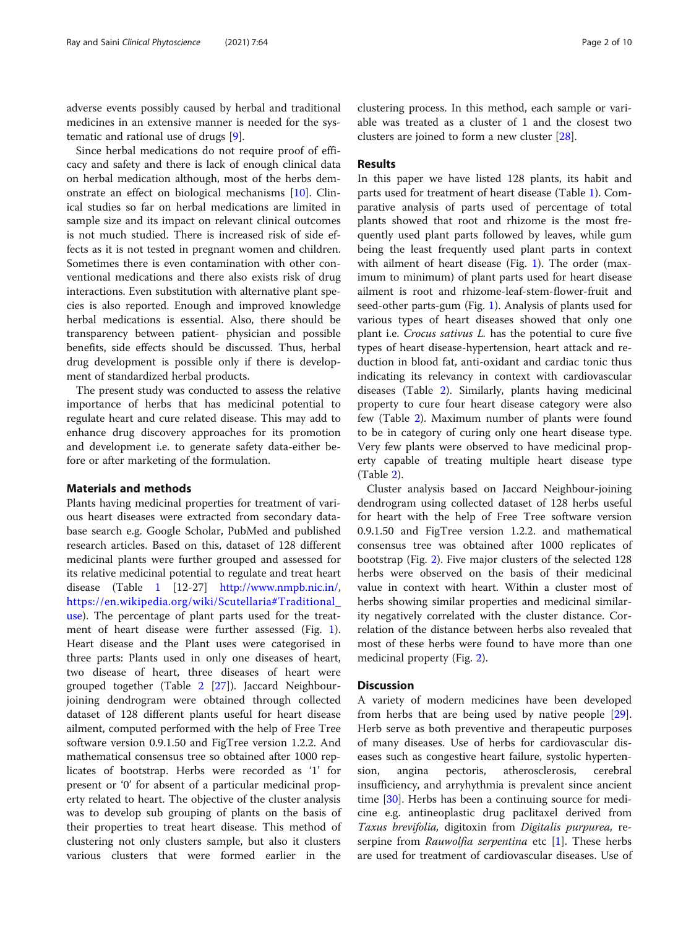adverse events possibly caused by herbal and traditional medicines in an extensive manner is needed for the systematic and rational use of drugs [\[9](#page-8-0)].

Since herbal medications do not require proof of efficacy and safety and there is lack of enough clinical data on herbal medication although, most of the herbs demonstrate an effect on biological mechanisms [\[10](#page-8-0)]. Clinical studies so far on herbal medications are limited in sample size and its impact on relevant clinical outcomes is not much studied. There is increased risk of side effects as it is not tested in pregnant women and children. Sometimes there is even contamination with other conventional medications and there also exists risk of drug interactions. Even substitution with alternative plant species is also reported. Enough and improved knowledge herbal medications is essential. Also, there should be transparency between patient- physician and possible benefits, side effects should be discussed. Thus, herbal drug development is possible only if there is development of standardized herbal products.

The present study was conducted to assess the relative importance of herbs that has medicinal potential to regulate heart and cure related disease. This may add to enhance drug discovery approaches for its promotion and development i.e. to generate safety data-either before or after marketing of the formulation.

#### Materials and methods

Plants having medicinal properties for treatment of various heart diseases were extracted from secondary database search e.g. Google Scholar, PubMed and published research articles. Based on this, dataset of 128 different medicinal plants were further grouped and assessed for its relative medicinal potential to regulate and treat heart disease (Table [1](#page-2-0) [12-27] <http://www.nmpb.nic.in/>, [https://en.wikipedia.org/wiki/Scutellaria#Traditional\\_](https://en.wikipedia.org/wiki/Scutellaria#Traditional_use) [use](https://en.wikipedia.org/wiki/Scutellaria#Traditional_use)). The percentage of plant parts used for the treatment of heart disease were further assessed (Fig. [1](#page-5-0)). Heart disease and the Plant uses were categorised in three parts: Plants used in only one diseases of heart, two disease of heart, three diseases of heart were grouped together (Table [2](#page-6-0) [\[27\]](#page-9-0)). Jaccard Neighbourjoining dendrogram were obtained through collected dataset of 128 different plants useful for heart disease ailment, computed performed with the help of Free Tree software version 0.9.1.50 and FigTree version 1.2.2. And mathematical consensus tree so obtained after 1000 replicates of bootstrap. Herbs were recorded as '1' for present or '0' for absent of a particular medicinal property related to heart. The objective of the cluster analysis was to develop sub grouping of plants on the basis of their properties to treat heart disease. This method of clustering not only clusters sample, but also it clusters various clusters that were formed earlier in the clustering process. In this method, each sample or variable was treated as a cluster of 1 and the closest two clusters are joined to form a new cluster [[28](#page-9-0)].

## Results

In this paper we have listed 128 plants, its habit and parts used for treatment of heart disease (Table [1\)](#page-2-0). Comparative analysis of parts used of percentage of total plants showed that root and rhizome is the most frequently used plant parts followed by leaves, while gum being the least frequently used plant parts in context with ailment of heart disease (Fig. [1](#page-5-0)). The order (maximum to minimum) of plant parts used for heart disease ailment is root and rhizome-leaf-stem-flower-fruit and seed-other parts-gum (Fig. [1](#page-5-0)). Analysis of plants used for various types of heart diseases showed that only one plant i.e. Crocus sativus L. has the potential to cure five types of heart disease-hypertension, heart attack and reduction in blood fat, anti-oxidant and cardiac tonic thus indicating its relevancy in context with cardiovascular diseases (Table [2](#page-6-0)). Similarly, plants having medicinal property to cure four heart disease category were also few (Table [2](#page-6-0)). Maximum number of plants were found to be in category of curing only one heart disease type. Very few plants were observed to have medicinal property capable of treating multiple heart disease type (Table [2\)](#page-6-0).

Cluster analysis based on Jaccard Neighbour-joining dendrogram using collected dataset of 128 herbs useful for heart with the help of Free Tree software version 0.9.1.50 and FigTree version 1.2.2. and mathematical consensus tree was obtained after 1000 replicates of bootstrap (Fig. [2](#page-7-0)). Five major clusters of the selected 128 herbs were observed on the basis of their medicinal value in context with heart. Within a cluster most of herbs showing similar properties and medicinal similarity negatively correlated with the cluster distance. Correlation of the distance between herbs also revealed that most of these herbs were found to have more than one medicinal property (Fig. [2\)](#page-7-0).

#### **Discussion**

A variety of modern medicines have been developed from herbs that are being used by native people [\[29](#page-9-0)]. Herb serve as both preventive and therapeutic purposes of many diseases. Use of herbs for cardiovascular diseases such as congestive heart failure, systolic hypertension, angina pectoris, atherosclerosis, cerebral insufficiency, and arryhythmia is prevalent since ancient time [\[30](#page-9-0)]. Herbs has been a continuing source for medicine e.g. antineoplastic drug paclitaxel derived from Taxus brevifolia, digitoxin from Digitalis purpurea, reserpine from *Rauwolfia serpentina* etc  $[1]$  $[1]$ . These herbs are used for treatment of cardiovascular diseases. Use of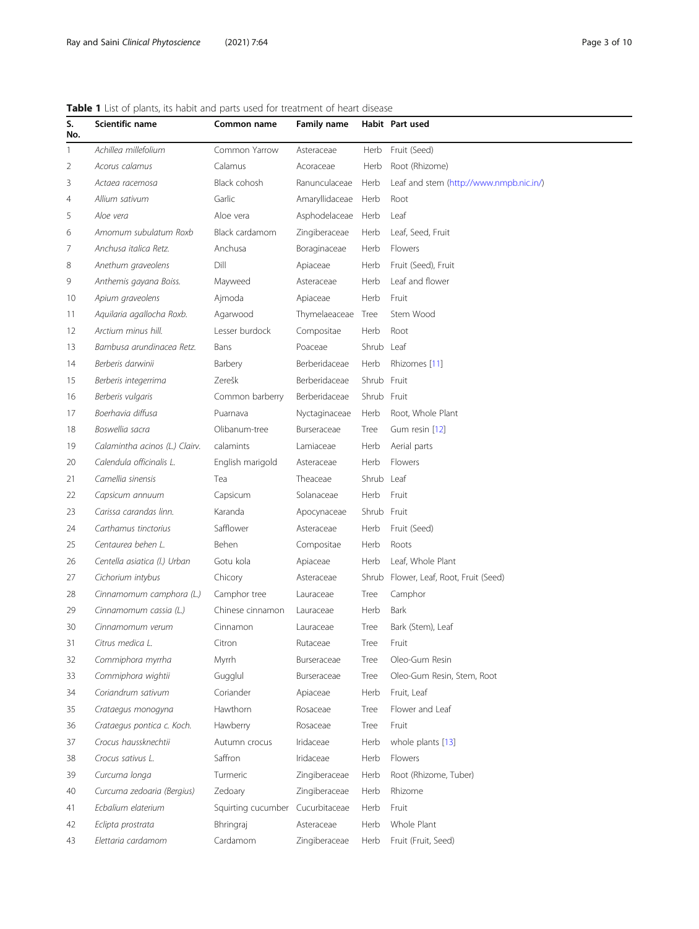# <span id="page-2-0"></span>Table 1 List of plants, its habit and parts used for treatment of heart disease

| S.<br>No. | Scientific name                | Common name        | <b>Family name</b> |             | Habit Part used                         |
|-----------|--------------------------------|--------------------|--------------------|-------------|-----------------------------------------|
| 1         | Achillea millefolium           | Common Yarrow      | Asteraceae         | Herb        | Fruit (Seed)                            |
| 2         | Acorus calamus                 | Calamus            | Acoraceae          | Herb        | Root (Rhizome)                          |
| 3         | Actaea racemosa                | Black cohosh       | Ranunculaceae      | Herb        | Leaf and stem (http://www.nmpb.nic.in/) |
| 4         | Allium sativum                 | Garlic             | Amaryllidaceae     | Herb        | Root                                    |
| 5         | Aloe vera                      | Aloe vera          | Asphodelaceae      | Herb        | Leaf                                    |
| 6         | Amomum subulatum Roxb          | Black cardamom     | Zingiberaceae      | Herb        | Leaf, Seed, Fruit                       |
| 7         | Anchusa italica Retz.          | Anchusa            | Boraginaceae       | Herb        | Flowers                                 |
| 8         | Anethum graveolens             | Dill               | Apiaceae           | Herb        | Fruit (Seed), Fruit                     |
| 9         | Anthemis gayana Boiss.         | Mayweed            | Asteraceae         | Herb        | Leaf and flower                         |
| 10        | Apium graveolens               | Ajmoda             | Apiaceae           | Herb        | Fruit                                   |
| 11        | Aquilaria agallocha Roxb.      | Agarwood           | Thymelaeaceae      | Tree        | Stem Wood                               |
| 12        | Arctium minus hill.            | Lesser burdock     | Compositae         | Herb        | Root                                    |
| 13        | Bambusa arundinacea Retz.      | Bans               | Poaceae            | Shrub Leaf  |                                         |
| 14        | Berberis darwinii              | Barbery            | Berberidaceae      | Herb        | Rhizomes [11]                           |
| 15        | Berberis integerrima           | Zerešk             | Berberidaceae      | Shrub       | Fruit                                   |
| 16        | Berberis vulgaris              | Common barberry    | Berberidaceae      | Shrub Fruit |                                         |
| 17        | Boerhavia diffusa              | Puarnava           | Nyctaginaceae      | Herb        | Root, Whole Plant                       |
| 18        | Boswellia sacra                | Olibanum-tree      | Burseraceae        | Tree        | Gum resin [12]                          |
| 19        | Calamintha acinos (L.) Clairv. | calamints          | Lamiaceae          | Herb        | Aerial parts                            |
| 20        | Calendula officinalis L.       | English marigold   | Asteraceae         | Herb        | Flowers                                 |
| 21        | Camellia sinensis              | Tea                | Theaceae           | Shrub       | Leaf                                    |
| 22        | Capsicum annuum                | Capsicum           | Solanaceae         | Herb        | Fruit                                   |
| 23        | Carissa carandas linn.         | Karanda            | Apocynaceae        | Shrub Fruit |                                         |
| 24        | Carthamus tinctorius           | Safflower          | Asteraceae         | Herb        | Fruit (Seed)                            |
| 25        | Centaurea behen L.             | Behen              | Compositae         | Herb        | Roots                                   |
| 26        | Centella asiatica (l.) Urban   | Gotu kola          | Apiaceae           | Herb        | Leaf, Whole Plant                       |
| 27        | Cichorium intybus              | Chicory            | Asteraceae         | Shrub       | Flower, Leaf, Root, Fruit (Seed)        |
| 28        | Cinnamomum camphora (L.)       | Camphor tree       | Lauraceae          | Tree        | Camphor                                 |
| 29        | Cinnamomum cassia (L.)         | Chinese cinnamon   | Lauraceae          | Herb        | Bark                                    |
| 30        | Cinnamomum verum               | Cinnamon           | Lauraceae          | Tree        | Bark (Stem), Leaf                       |
| 31        | Citrus medica L.               | Citron             | Rutaceae           | Tree        | Fruit                                   |
| 32        | Commiphora myrrha              | Myrrh              | Burseraceae        | Tree        | Oleo-Gum Resin                          |
| 33        | Commiphora wightii             | Gugglul            | Burseraceae        | Tree        | Oleo-Gum Resin, Stem, Root              |
| 34        | Coriandrum sativum             | Coriander          | Apiaceae           | Herb        | Fruit, Leaf                             |
| 35        | Crataegus monogyna             | Hawthorn           | Rosaceae           | Tree        | Flower and Leaf                         |
| 36        | Crataegus pontica c. Koch.     | Hawberry           | Rosaceae           | Tree        | Fruit                                   |
| 37        | Crocus haussknechtii           | Autumn crocus      | Iridaceae          | Herb        | whole plants [13]                       |
| 38        | Crocus sativus L.              | Saffron            | Iridaceae          | Herb        | Flowers                                 |
| 39        | Curcuma longa                  | Turmeric           | Zingiberaceae      | Herb        | Root (Rhizome, Tuber)                   |
| 40        | Curcuma zedoaria (Bergius)     | Zedoary            | Zingiberaceae      | Herb        | Rhizome                                 |
| 41        | Ecbalium elaterium             | Squirting cucumber | Cucurbitaceae      | Herb        | Fruit                                   |
| 42        | Eclipta prostrata              | Bhringraj          | Asteraceae         | Herb        | Whole Plant                             |
| 43        | Elettaria cardamom             | Cardamom           | Zingiberaceae      | Herb        | Fruit (Fruit, Seed)                     |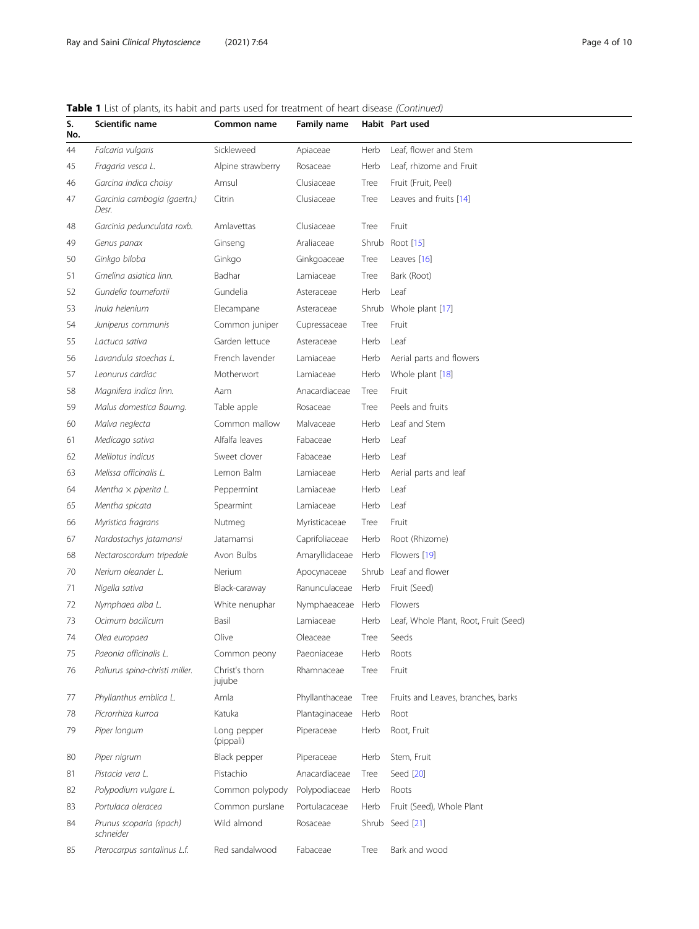# Table 1 List of plants, its habit and parts used for treatment of heart disease (Continued)

| S.<br>No. | Scientific name                      | Common name              | <b>Family name</b> |       | Habit Part used                       |
|-----------|--------------------------------------|--------------------------|--------------------|-------|---------------------------------------|
| 44        | Falcaria vulgaris                    | Sickleweed               | Apiaceae           | Herb  | Leaf. flower and Stem                 |
| 45        | Fragaria vesca L.                    | Alpine strawberry        | Rosaceae           | Herb  | Leaf, rhizome and Fruit               |
| 46        | Garcina indica choisy                | Amsul                    | Clusiaceae         | Tree  | Fruit (Fruit, Peel)                   |
| 47        | Garcinia cambogia (gaertn.)<br>Desr. | Citrin                   | Clusiaceae         | Tree  | Leaves and fruits [14]                |
| 48        | Garcinia pedunculata roxb.           | Amlayettas               | Clusiaceae         | Tree  | Fruit                                 |
| 49        | Genus panax                          | Ginseng                  | Araliaceae         | Shrub | Root [15]                             |
| 50        | Ginkgo biloba                        | Ginkgo                   | Ginkgoaceae        | Tree  | Leaves $[16]$                         |
| 51        | Gmelina asiatica linn.               | <b>Badhar</b>            | Lamiaceae          | Tree  | Bark (Root)                           |
| 52        | Gundelia tournefortii                | Gundelia                 | Asteraceae         | Herb  | Leaf                                  |
| 53        | Inula helenium                       | Elecampane               | Asteraceae         | Shrub | Whole plant [17]                      |
| 54        | Juniperus communis                   | Common juniper           | Cupressaceae       | Tree  | Fruit                                 |
| 55        | Lactuca sativa                       | Garden lettuce           | Asteraceae         | Herb  | Leaf                                  |
| 56        | Lavandula stoechas L.                | French lavender          | Lamiaceae          | Herb  | Aerial parts and flowers              |
| 57        | Leonurus cardiac                     | Motherwort               | Lamiaceae          | Herb  | Whole plant [18]                      |
| 58        | Magnifera indica linn.               | Aam                      | Anacardiaceae      | Tree  | Fruit                                 |
| 59        | Malus domestica Baumg.               | Table apple              | Rosaceae           | Tree  | Peels and fruits                      |
| 60        | Malva neglecta                       | Common mallow            | Malvaceae          | Herb  | Leaf and Stem                         |
| 61        | Medicago sativa                      | Alfalfa leaves           | Fabaceae           | Herb  | Leaf                                  |
| 62        | Melilotus indicus                    | Sweet clover             | Fabaceae           | Herb  | Leaf                                  |
| 63        | Melissa officinalis L.               | Lemon Balm               | Lamiaceae          | Herb  | Aerial parts and leaf                 |
| 64        | Mentha $\times$ piperita L.          | Peppermint               | Lamiaceae          | Herb  | Leaf                                  |
| 65        | Mentha spicata                       | Spearmint                | Lamiaceae          | Herb  | Leaf                                  |
| 66        | Myristica fragrans                   | Nutmeg                   | Myristicaceae      | Tree  | Fruit                                 |
| 67        | Nardostachys jatamansi               | Jatamamsi                | Caprifoliaceae     | Herb  | Root (Rhizome)                        |
| 68        | Nectaroscordum tripedale             | Avon Bulbs               | Amaryllidaceae     | Herb  | Flowers [19]                          |
| 70        | Nerium oleander L.                   | Nerium                   | Apocynaceae        | Shrub | Leaf and flower                       |
| 71        | Nigella sativa                       | Black-caraway            | Ranunculaceae      | Herb  | Fruit (Seed)                          |
| 72        | Nymphaea alba L.                     | White nenuphar           | Nymphaeaceae       | Herb  | Flowers                               |
| 73        | Ocimum bacilicum                     | Basil                    | Lamiaceae          | Herb  | Leaf, Whole Plant, Root, Fruit (Seed) |
| 74        | Olea europaea                        | Olive                    | Oleaceae           | Tree  | Seeds                                 |
| 75        | Paeonia officinalis L.               | Common peony             | Paeoniaceae        | Herb  | Roots                                 |
| 76        | Paliurus spina-christi miller.       | Christ's thorn<br>jujube | Rhamnaceae         | Tree  | Fruit                                 |
| 77        | Phyllanthus emblica L.               | Amla                     | Phyllanthaceae     | Tree  | Fruits and Leaves, branches, barks    |
| 78        | Picrorrhiza kurroa                   | Katuka                   | Plantaginaceae     | Herb  | Root                                  |
| 79        | Piper longum                         | Long pepper<br>(pippali) | Piperaceae         | Herb  | Root, Fruit                           |
| 80        | Piper nigrum                         | Black pepper             | Piperaceae         | Herb  | Stem, Fruit                           |
| 81        | Pistacia vera L.                     | Pistachio                | Anacardiaceae      | Tree  | Seed [20]                             |
| 82        | Polypodium vulgare L.                | Common polypody          | Polypodiaceae      | Herb  | Roots                                 |
| 83        | Portulaca oleracea                   | Common purslane          | Portulacaceae      | Herb  | Fruit (Seed), Whole Plant             |
| 84        | Prunus scoparia (spach)<br>schneider | Wild almond              | Rosaceae           |       | Shrub Seed [21]                       |
| 85        | Pterocarpus santalinus L.f.          | Red sandalwood           | Fabaceae           | Tree  | Bark and wood                         |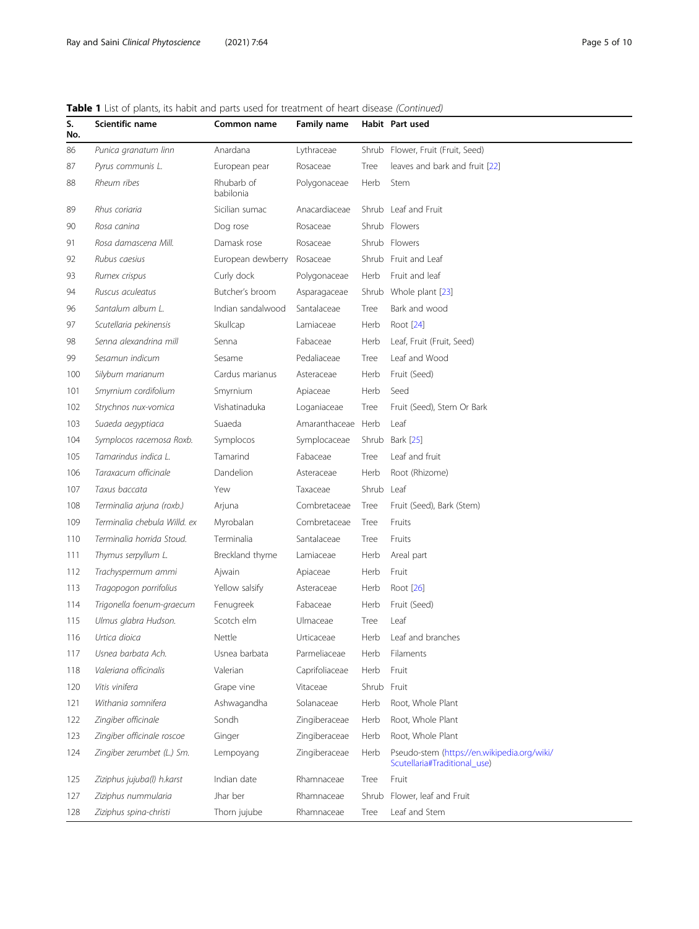# Table 1 List of plants, its habit and parts used for treatment of heart disease (Continued)

| S.<br>No. | Scientific name              | Common name             | <b>Family name</b> |       | Habit Part used                                                             |
|-----------|------------------------------|-------------------------|--------------------|-------|-----------------------------------------------------------------------------|
| 86        | Punica granatum linn         | Anardana                | Lythraceae         | Shrub | Flower, Fruit (Fruit, Seed)                                                 |
| 87        | Pyrus communis L.            | European pear           | Rosaceae           | Tree  | leaves and bark and fruit [22]                                              |
| 88        | Rheum ribes                  | Rhubarb of<br>babilonia | Polygonaceae       | Herb  | Stem                                                                        |
| 89        | Rhus coriaria                | Sicilian sumac          | Anacardiaceae      |       | Shrub Leaf and Fruit                                                        |
| 90        | Rosa canina                  | Dog rose                | Rosaceae           |       | Shrub Flowers                                                               |
| 91        | Rosa damascena Mill.         | Damask rose             | Rosaceae           |       | Shrub Flowers                                                               |
| 92        | Rubus caesius                | European dewberry       | Rosaceae           |       | Shrub Fruit and Leaf                                                        |
| 93        | Rumex crispus                | Curly dock              | Polygonaceae       | Herb  | Fruit and leaf                                                              |
| 94        | Ruscus aculeatus             | Butcher's broom         | Asparagaceae       | Shrub | Whole plant [23]                                                            |
| 96        | Santalum album L.            | Indian sandalwood       | Santalaceae        | Tree  | Bark and wood                                                               |
| 97        | Scutellaria pekinensis       | Skullcap                | Lamiaceae          | Herb  | Root [24]                                                                   |
| 98        | Senna alexandrina mill       | Senna                   | Fabaceae           | Herb  | Leaf, Fruit (Fruit, Seed)                                                   |
| 99        | Sesamun indicum              | Sesame                  | Pedaliaceae        | Tree  | Leaf and Wood                                                               |
| 100       | Silybum marianum             | Cardus marianus         | Asteraceae         | Herb  | Fruit (Seed)                                                                |
| 101       | Smyrnium cordifolium         | Smyrnium                | Apiaceae           | Herb  | Seed                                                                        |
| 102       | Strychnos nux-vomica         | Vishatinaduka           | Loganiaceae        | Tree  | Fruit (Seed), Stem Or Bark                                                  |
| 103       | Suaeda aegyptiaca            | Suaeda                  | Amaranthaceae Herb |       | Leaf                                                                        |
| 104       | Symplocos racemosa Roxb.     | Symplocos               | Symplocaceae       | Shrub | Bark [25]                                                                   |
| 105       | Tamarindus indica L.         | Tamarind                | Fabaceae           | Tree  | Leaf and fruit                                                              |
| 106       | Taraxacum officinale         | Dandelion               | Asteraceae         | Herb  | Root (Rhizome)                                                              |
| 107       | Taxus baccata                | Yew                     | Taxaceae           | Shrub | Leaf                                                                        |
| 108       | Terminalia arjuna (roxb.)    | Arjuna                  | Combretaceae       | Tree  | Fruit (Seed), Bark (Stem)                                                   |
| 109       | Terminalia chebula Willd. ex | Myrobalan               | Combretaceae       | Tree  | Fruits                                                                      |
| 110       | Terminalia horrida Stoud.    | Terminalia              | Santalaceae        | Tree  | Fruits                                                                      |
| 111       | Thymus serpyllum L.          | Breckland thyme         | Lamiaceae          | Herb  | Areal part                                                                  |
| 112       | Trachyspermum ammi           | Ajwain                  | Apiaceae           | Herb  | Fruit                                                                       |
| 113       | Tragopogon porrifolius       | Yellow salsify          | Asteraceae         | Herb  | Root [26]                                                                   |
| 114       | Trigonella foenum-graecum    | Fenugreek               | Fabaceae           | Herb  | Fruit (Seed)                                                                |
| 115       | Ulmus glabra Hudson.         | Scotch elm              | Ulmaceae           | Tree  | Leaf                                                                        |
| 116       | Urtica dioica                | Nettle                  | Urticaceae         | Herb  | Leaf and branches                                                           |
| 117       | Usnea barbata Ach.           | Usnea barbata           | Parmeliaceae       | Herb  | Filaments                                                                   |
| 118       | Valeriana officinalis        | Valerian                | Caprifoliaceae     | Herb  | Fruit                                                                       |
| 120       | Vitis vinifera               | Grape vine              | Vitaceae           | Shrub | Fruit                                                                       |
| 121       | Withania somnifera           | Ashwagandha             | Solanaceae         | Herb  | Root, Whole Plant                                                           |
| 122       | Zingiber officinale          | Sondh                   | Zingiberaceae      | Herb  | Root, Whole Plant                                                           |
| 123       | Zingiber officinale roscoe   | Ginger                  | Zingiberaceae      | Herb  | Root, Whole Plant                                                           |
| 124       | Zingiber zerumbet (L.) Sm.   | Lempoyang               | Zingiberaceae      | Herb  | Pseudo-stem (https://en.wikipedia.org/wiki/<br>Scutellaria#Traditional_use) |
| 125       | Ziziphus jujuba(I) h.karst   | Indian date             | Rhamnaceae         | Tree  | Fruit                                                                       |
| 127       | Ziziphus nummularia          | Jhar ber                | Rhamnaceae         | Shrub | Flower, leaf and Fruit                                                      |
| 128       | Ziziphus spina-christi       | Thorn jujube            | Rhamnaceae         | Tree  | Leaf and Stem                                                               |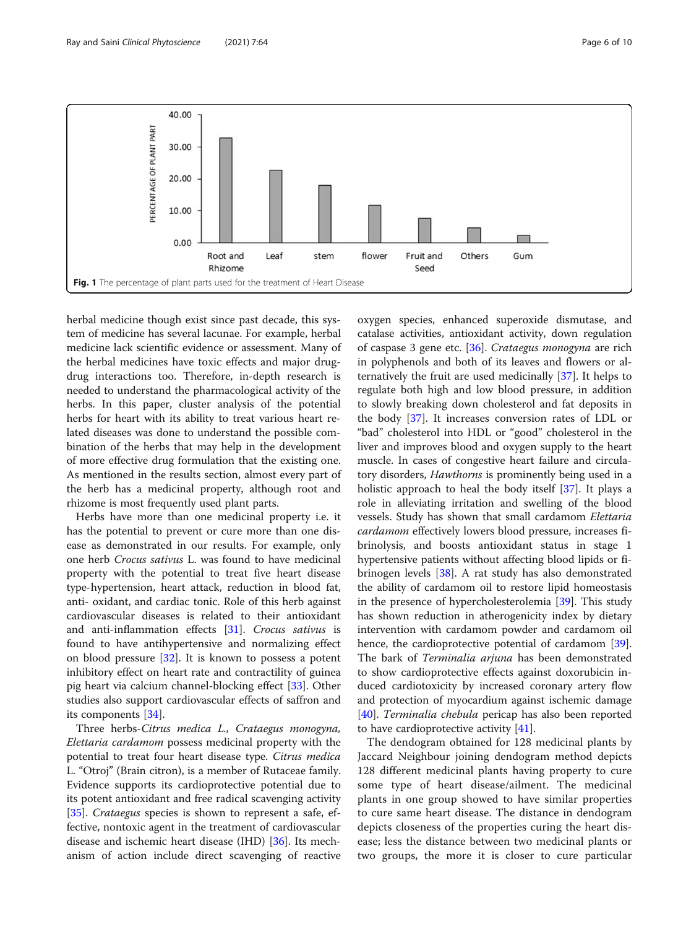<span id="page-5-0"></span>

herbal medicine though exist since past decade, this system of medicine has several lacunae. For example, herbal medicine lack scientific evidence or assessment. Many of the herbal medicines have toxic effects and major drugdrug interactions too. Therefore, in-depth research is needed to understand the pharmacological activity of the herbs. In this paper, cluster analysis of the potential herbs for heart with its ability to treat various heart related diseases was done to understand the possible combination of the herbs that may help in the development of more effective drug formulation that the existing one. As mentioned in the results section, almost every part of the herb has a medicinal property, although root and rhizome is most frequently used plant parts.

Herbs have more than one medicinal property i.e. it has the potential to prevent or cure more than one disease as demonstrated in our results. For example, only one herb Crocus sativus L. was found to have medicinal property with the potential to treat five heart disease type-hypertension, heart attack, reduction in blood fat, anti- oxidant, and cardiac tonic. Role of this herb against cardiovascular diseases is related to their antioxidant and anti-inflammation effects [\[31\]](#page-9-0). Crocus sativus is found to have antihypertensive and normalizing effect on blood pressure [\[32](#page-9-0)]. It is known to possess a potent inhibitory effect on heart rate and contractility of guinea pig heart via calcium channel-blocking effect [[33\]](#page-9-0). Other studies also support cardiovascular effects of saffron and its components [\[34](#page-9-0)].

Three herbs-Citrus medica L., Crataegus monogyna, Elettaria cardamom possess medicinal property with the potential to treat four heart disease type. Citrus medica L. "Otroj" (Brain citron), is a member of Rutaceae family. Evidence supports its cardioprotective potential due to its potent antioxidant and free radical scavenging activity [[35\]](#page-9-0). Crataegus species is shown to represent a safe, effective, nontoxic agent in the treatment of cardiovascular disease and ischemic heart disease (IHD) [[36\]](#page-9-0). Its mechanism of action include direct scavenging of reactive oxygen species, enhanced superoxide dismutase, and catalase activities, antioxidant activity, down regulation of caspase 3 gene etc. [\[36\]](#page-9-0). Crataegus monogyna are rich in polyphenols and both of its leaves and flowers or alternatively the fruit are used medicinally [[37\]](#page-9-0). It helps to regulate both high and low blood pressure, in addition to slowly breaking down cholesterol and fat deposits in the body [[37](#page-9-0)]. It increases conversion rates of LDL or "bad" cholesterol into HDL or "good" cholesterol in the liver and improves blood and oxygen supply to the heart muscle. In cases of congestive heart failure and circulatory disorders, *Hawthorns* is prominently being used in a holistic approach to heal the body itself [\[37\]](#page-9-0). It plays a role in alleviating irritation and swelling of the blood vessels. Study has shown that small cardamom Elettaria cardamom effectively lowers blood pressure, increases fibrinolysis, and boosts antioxidant status in stage 1 hypertensive patients without affecting blood lipids or fibrinogen levels [\[38](#page-9-0)]. A rat study has also demonstrated the ability of cardamom oil to restore lipid homeostasis in the presence of hypercholesterolemia [[39](#page-9-0)]. This study has shown reduction in atherogenicity index by dietary intervention with cardamom powder and cardamom oil hence, the cardioprotective potential of cardamom [\[39](#page-9-0)]. The bark of Terminalia arjuna has been demonstrated to show cardioprotective effects against doxorubicin induced cardiotoxicity by increased coronary artery flow and protection of myocardium against ischemic damage [[40\]](#page-9-0). Terminalia chebula pericap has also been reported to have cardioprotective activity [[41](#page-9-0)].

The dendogram obtained for 128 medicinal plants by Jaccard Neighbour joining dendogram method depicts 128 different medicinal plants having property to cure some type of heart disease/ailment. The medicinal plants in one group showed to have similar properties to cure same heart disease. The distance in dendogram depicts closeness of the properties curing the heart disease; less the distance between two medicinal plants or two groups, the more it is closer to cure particular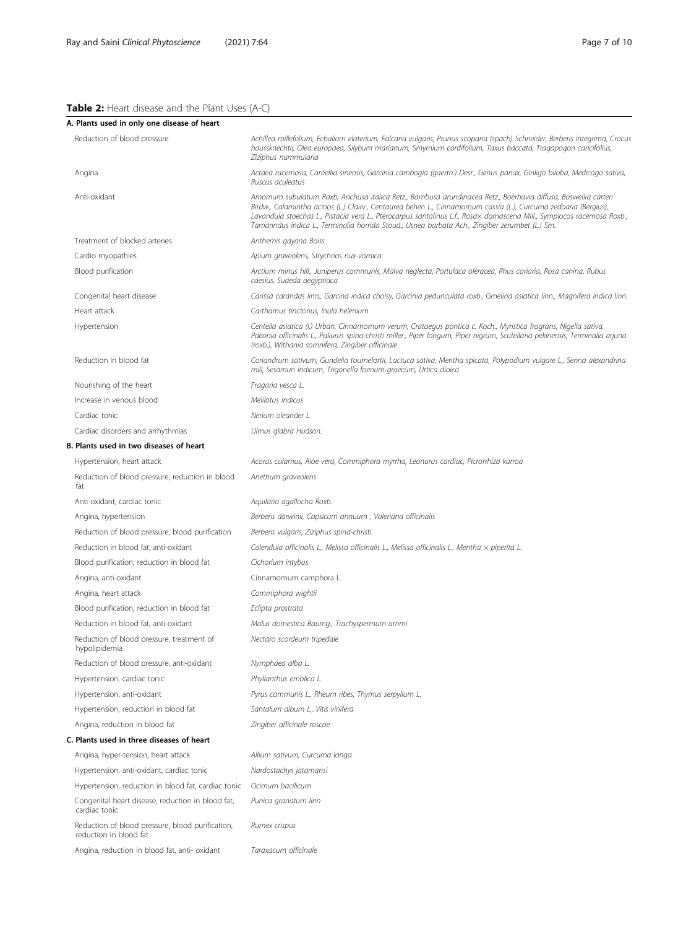# <span id="page-6-0"></span>Table 2: Heart disease and the Plant Uses (A-C)

| A. Plants used in only one disease of heart                                |                                                                                                                                                                                                                                                                                                                                                                                                                                                               |
|----------------------------------------------------------------------------|---------------------------------------------------------------------------------------------------------------------------------------------------------------------------------------------------------------------------------------------------------------------------------------------------------------------------------------------------------------------------------------------------------------------------------------------------------------|
| Reduction of blood pressure                                                | Achillea millefolium, Ecbalium elaterium, Falcaria vulgaris, Prunus scoparia (spach) Schneider, Berberis integrima, Crocu:<br>haussknechtii, Olea europaea, Silybum marianum, Smyrnium cordifolium, Taxus baccata, Tragapogon caricifolius,<br>Ziziphus nummularia                                                                                                                                                                                            |
| Angina                                                                     | Actaea racemosa, Camellia sinensis, Garcinia cambogia (gaertn.) Desr., Genus panax, Ginkgo biloba, Medicago sativa,<br>Ruscus aculeatus                                                                                                                                                                                                                                                                                                                       |
| Anti-oxidant                                                               | Amomum subulatum Roxb, Anchusa italica Retz., Bambusa arundinacea Retz., Boerhavia diffusa, Boswellia carteri<br>Birdw., Calamintha acinos (L.) Clairv., Centaurea behen L., Cinnamomum cassia (L.), Curcuma zedoaria (Bergius),<br>Lavandula stoechas L., Pistacia vera L., Pterocarpus santalinus L.f., Rosax damascena Mill., Symplocos racemosa Roxb.,<br>Tamarindus indica L., Terminalia horrida Stoud., Usnea barbata Ach., Zingiber zerumbet (L.) Sm. |
| Treatment of blocked arteries                                              | Anthemis gayana Boiss.                                                                                                                                                                                                                                                                                                                                                                                                                                        |
| Cardio myopathies                                                          | Apium graveolens, Strychnos nux-vomica                                                                                                                                                                                                                                                                                                                                                                                                                        |
| Blood purification                                                         | Arctium minus hill., Juniperus communis, Malva neglecta, Portulaca oleracea, Rhus coriaria, Rosa canina, Rubus<br>caesius, Suaeda aegyptiaca                                                                                                                                                                                                                                                                                                                  |
| Congenital heart disease                                                   | Carissa carandas linn., Garcina indica choisy, Garcinia pedunculata roxb., Gmelina asiatica linn., Magnifera indica linn.                                                                                                                                                                                                                                                                                                                                     |
| Heart attack                                                               | Carthamus tinctorius, Inula helenium                                                                                                                                                                                                                                                                                                                                                                                                                          |
| Hypertension                                                               | Centella asiatica (l.) Urban, Cinnamomum verum, Crataegus pontica c. Koch., Myristica fragrans, Nigella sativa,<br>Paeonia officinalis L., Paliurus spina-christi miller., Piper longum, Piper nigrum, Scutellaria pekinensis, Terminalia arjuna<br>(roxb.), Withania somnifera, Zingiber officinale                                                                                                                                                          |
| Reduction in blood fat                                                     | Coriandrum sativum, Gundelia tournefortii, Lactuca sativa, Mentha spicata, Polypodium vulgare L., Senna alexandrina<br>mill, Sesamun indicum, Trigonella foenum-graecum, Urtica dioica                                                                                                                                                                                                                                                                        |
| Nourishing of the heart                                                    | Fragaria vesca L.                                                                                                                                                                                                                                                                                                                                                                                                                                             |
| Increase in venous blood                                                   | Melilotus indicus                                                                                                                                                                                                                                                                                                                                                                                                                                             |
| Cardiac tonic                                                              | Nerium oleander L.                                                                                                                                                                                                                                                                                                                                                                                                                                            |
| Cardiac disorders and arrhythmias                                          | Ulmus glabra Hudson.                                                                                                                                                                                                                                                                                                                                                                                                                                          |
| B. Plants used in two diseases of heart                                    |                                                                                                                                                                                                                                                                                                                                                                                                                                                               |
| Hypertension, heart attack                                                 | Acorus calamus, Aloe vera, Commiphora myrrha, Leonurus cardiac, Picrorrhiza kurroa                                                                                                                                                                                                                                                                                                                                                                            |
| Reduction of blood pressure, reduction in blood<br>fat                     | Anethum graveolens                                                                                                                                                                                                                                                                                                                                                                                                                                            |
| Anti-oxidant, cardiac tonic                                                | Aquilaria agallocha Roxb.                                                                                                                                                                                                                                                                                                                                                                                                                                     |
| Angina, hypertension                                                       | Berberis darwinii, Capsicum annuum, Valeriana officinalis                                                                                                                                                                                                                                                                                                                                                                                                     |
| Reduction of blood pressure, blood purification                            | Berberis vulgaris, Ziziphus spina-christi                                                                                                                                                                                                                                                                                                                                                                                                                     |
| Reduction in blood fat, anti-oxidant                                       | Calendula officinalis L., Melissa officinalis L., Melissa officinalis L., Mentha x piperita L.                                                                                                                                                                                                                                                                                                                                                                |
| Blood purification, reduction in blood fat                                 | Cichorium intybus                                                                                                                                                                                                                                                                                                                                                                                                                                             |
| Angina, anti-oxidant                                                       | Cinnamomum camphora L.                                                                                                                                                                                                                                                                                                                                                                                                                                        |
| Angina, heart attack                                                       | Commiphora wightii                                                                                                                                                                                                                                                                                                                                                                                                                                            |
| Blood purification, reduction in blood fat                                 | Eclipta prostrata                                                                                                                                                                                                                                                                                                                                                                                                                                             |
| Reduction in blood fat, anti-oxidant                                       | Malus domestica Baumg., Trachyspermum ammi                                                                                                                                                                                                                                                                                                                                                                                                                    |
| Reduction of blood pressure, treatment of<br>hypolipidemia                 | Nectaro scordeum tripedale                                                                                                                                                                                                                                                                                                                                                                                                                                    |
| Reduction of blood pressure, anti-oxidant                                  | Nymphaea alba L.                                                                                                                                                                                                                                                                                                                                                                                                                                              |
| Hypertension, cardiac tonic                                                | Phyllanthus emblica L.                                                                                                                                                                                                                                                                                                                                                                                                                                        |
| Hypertension, anti-oxidant                                                 | Pyrus communis L., Rheum ribes, Thymus serpyllum L.                                                                                                                                                                                                                                                                                                                                                                                                           |
| Hypertension, reduction in blood fat                                       | Santalum album L., Vitis vinifera                                                                                                                                                                                                                                                                                                                                                                                                                             |
| Angina, reduction in blood fat                                             | Zingiber officinale roscoe                                                                                                                                                                                                                                                                                                                                                                                                                                    |
| C. Plants used in three diseases of heart                                  |                                                                                                                                                                                                                                                                                                                                                                                                                                                               |
| Angina, hyper-tension, heart attack                                        | Allium sativum, Curcuma longa                                                                                                                                                                                                                                                                                                                                                                                                                                 |
| Hypertension, anti-oxidant, cardiac tonic                                  | Nardostachys jatamansi                                                                                                                                                                                                                                                                                                                                                                                                                                        |
| Hypertension, reduction in blood fat, cardiac tonic                        | Ocimum bacilicum                                                                                                                                                                                                                                                                                                                                                                                                                                              |
| Congenital heart disease, reduction in blood fat,<br>cardiac tonic         | Punica granatum linn                                                                                                                                                                                                                                                                                                                                                                                                                                          |
| Reduction of blood pressure, blood purification,<br>reduction in blood fat | Rumex crispus                                                                                                                                                                                                                                                                                                                                                                                                                                                 |
| Angina, reduction in blood fat, anti- oxidant                              | Taraxacum officinale                                                                                                                                                                                                                                                                                                                                                                                                                                          |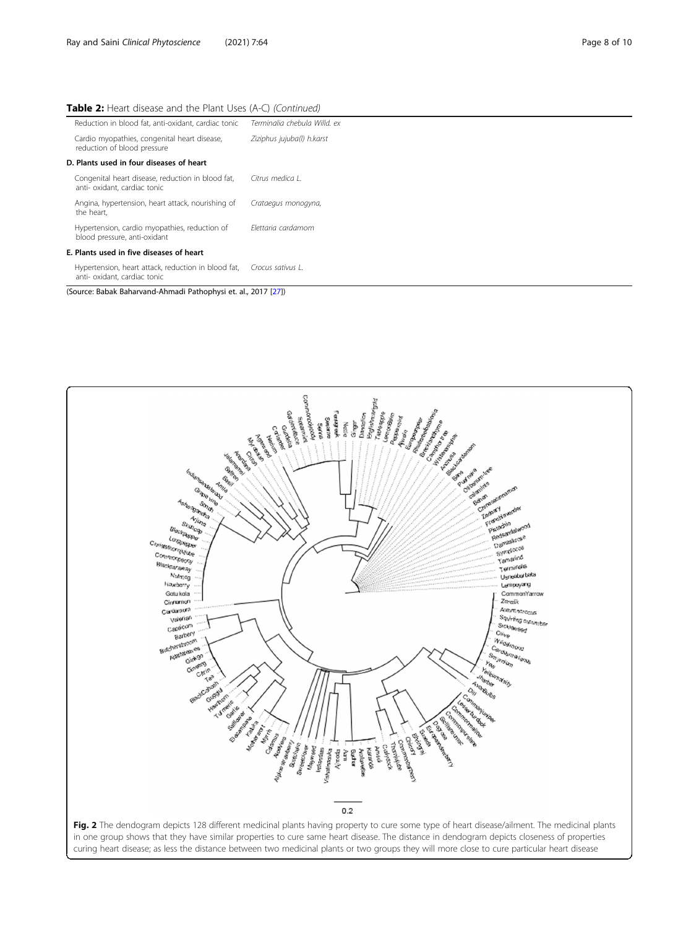#### <span id="page-7-0"></span>Table 2: Heart disease and the Plant Uses (A-C) (Continued)

| Terminalia chebula Willd. ex             |  |  |
|------------------------------------------|--|--|
| Ziziphus jujuba(l) h.karst               |  |  |
| D. Plants used in four diseases of heart |  |  |
| Citrus medica L                          |  |  |
| Crataegus monogyna,                      |  |  |
| Flettaria cardamom                       |  |  |
| E. Plants used in five diseases of heart |  |  |
| Crocus sativus L.                        |  |  |
|                                          |  |  |

(Source: Babak Baharvand-Ahmadi Pathophysi et. al., 2017 [\[27](#page-9-0)])

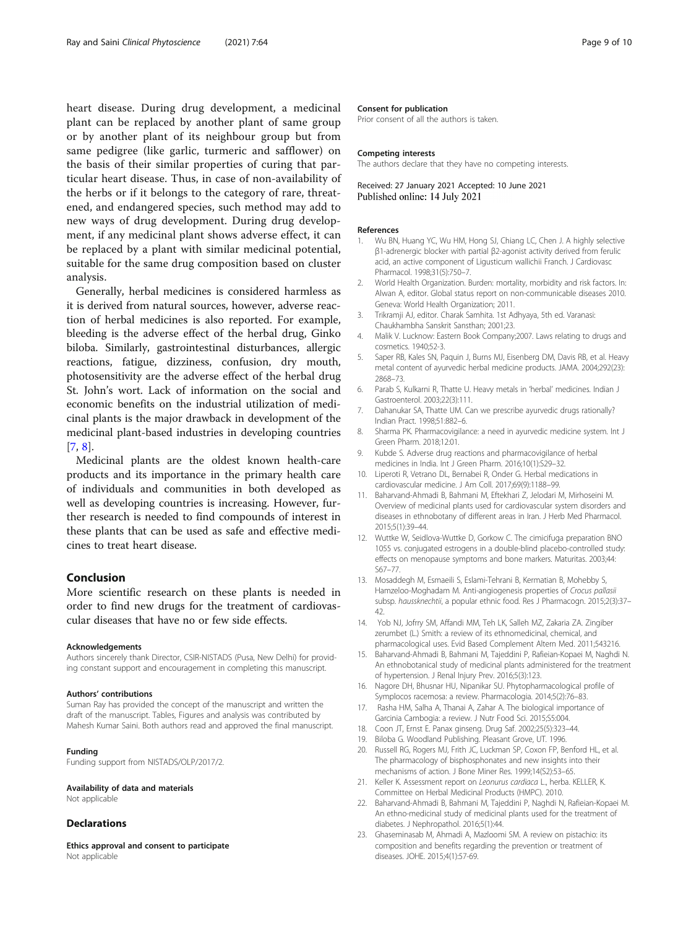<span id="page-8-0"></span>heart disease. During drug development, a medicinal plant can be replaced by another plant of same group or by another plant of its neighbour group but from same pedigree (like garlic, turmeric and safflower) on the basis of their similar properties of curing that particular heart disease. Thus, in case of non-availability of the herbs or if it belongs to the category of rare, threatened, and endangered species, such method may add to new ways of drug development. During drug development, if any medicinal plant shows adverse effect, it can be replaced by a plant with similar medicinal potential, suitable for the same drug composition based on cluster analysis.

Generally, herbal medicines is considered harmless as it is derived from natural sources, however, adverse reaction of herbal medicines is also reported. For example, bleeding is the adverse effect of the herbal drug, Ginko biloba. Similarly, gastrointestinal disturbances, allergic reactions, fatigue, dizziness, confusion, dry mouth, photosensitivity are the adverse effect of the herbal drug St. John's wort. Lack of information on the social and economic benefits on the industrial utilization of medicinal plants is the major drawback in development of the medicinal plant-based industries in developing countries [7, 8].

Medicinal plants are the oldest known health-care products and its importance in the primary health care of individuals and communities in both developed as well as developing countries is increasing. However, further research is needed to find compounds of interest in these plants that can be used as safe and effective medicines to treat heart disease.

#### Conclusion

More scientific research on these plants is needed in order to find new drugs for the treatment of cardiovascular diseases that have no or few side effects.

#### Acknowledgements

Authors sincerely thank Director, CSIR-NISTADS (Pusa, New Delhi) for providing constant support and encouragement in completing this manuscript.

#### Authors' contributions

Suman Ray has provided the concept of the manuscript and written the draft of the manuscript. Tables, Figures and analysis was contributed by Mahesh Kumar Saini. Both authors read and approved the final manuscript.

#### Funding

Funding support from NISTADS/OLP/2017/2.

#### Availability of data and materials

Not applicable

#### **Declarations**

Ethics approval and consent to participate Not applicable

### Consent for publication

Prior consent of all the authors is taken.

#### Competing interests

The authors declare that they have no competing interests.

Received: 27 January 2021 Accepted: 10 June 2021 Published online: 14 July 2021

#### References

- Wu BN, Huang YC, Wu HM, Hong SJ, Chiang LC, Chen J. A highly selective β1-adrenergic blocker with partial β2-agonist activity derived from ferulic acid, an active component of Ligusticum wallichii Franch. J Cardiovasc Pharmacol. 1998;31(5):750–7.
- 2. World Health Organization. Burden: mortality, morbidity and risk factors. In: Alwan A, editor. Global status report on non-communicable diseases 2010. Geneva: World Health Organization; 2011.
- 3. Trikramji AJ, editor. Charak Samhita. 1st Adhyaya, 5th ed. Varanasi: Chaukhambha Sanskrit Sansthan; 2001;23.
- 4. Malik V. Lucknow: Eastern Book Company;2007. Laws relating to drugs and cosmetics. 1940;52-3.
- 5. Saper RB, Kales SN, Paquin J, Burns MJ, Eisenberg DM, Davis RB, et al. Heavy metal content of ayurvedic herbal medicine products. JAMA. 2004;292(23): 2868–73.
- Parab S, Kulkarni R, Thatte U. Heavy metals in 'herbal' medicines. Indian J Gastroenterol. 2003;22(3):111.
- 7. Dahanukar SA, Thatte UM. Can we prescribe ayurvedic drugs rationally? Indian Pract. 1998;51:882–6.
- 8. Sharma PK. Pharmacovigilance: a need in ayurvedic medicine system. Int J Green Pharm. 2018;12:01.
- 9. Kubde S. Adverse drug reactions and pharmacovigilance of herbal medicines in India. Int J Green Pharm. 2016;10(1):S29–32.
- 10. Liperoti R, Vetrano DL, Bernabei R, Onder G. Herbal medications in cardiovascular medicine. J Am Coll. 2017;69(9):1188–99.
- 11. Baharvand-Ahmadi B, Bahmani M, Eftekhari Z, Jelodari M, Mirhoseini M. Overview of medicinal plants used for cardiovascular system disorders and diseases in ethnobotany of different areas in Iran. J Herb Med Pharmacol. 2015;5(1):39–44.
- 12. Wuttke W, Seidlova-Wuttke D, Gorkow C. The cimicifuga preparation BNO 1055 vs. conjugated estrogens in a double-blind placebo-controlled study: effects on menopause symptoms and bone markers. Maturitas. 2003;44: S67–77.
- 13. Mosaddegh M, Esmaeili S, Eslami-Tehrani B, Kermatian B, Mohebby S, Hamzeloo-Moghadam M. Anti-angiogenesis properties of Crocus pallasii subsp. haussknechtii, a popular ethnic food. Res J Pharmacogn. 2015;2(3):37– 42.
- 14. Yob NJ, Jofrry SM, Affandi MM, Teh LK, Salleh MZ, Zakaria ZA. Zingiber zerumbet (L.) Smith: a review of its ethnomedicinal, chemical, and pharmacological uses. Evid Based Complement Altern Med. 2011;543216.
- 15. Baharvand-Ahmadi B, Bahmani M, Tajeddini P, Rafieian-Kopaei M, Naghdi N. An ethnobotanical study of medicinal plants administered for the treatment of hypertension. J Renal Injury Prev. 2016;5(3):123.
- 16. Nagore DH, Bhusnar HU, Nipanikar SU. Phytopharmacological profile of Symplocos racemosa: a review. Pharmacologia. 2014;5(2):76–83.
- 17. Rasha HM, Salha A, Thanai A, Zahar A. The biological importance of Garcinia Cambogia: a review. J Nutr Food Sci. 2015;S5:004.
- 18. Coon JT, Ernst E. Panax ginseng. Drug Saf. 2002;25(5):323–44.
- 19. Biloba G. Woodland Publishing. Pleasant Grove, UT. 1996.
- 20. Russell RG, Rogers MJ, Frith JC, Luckman SP, Coxon FP, Benford HL, et al. The pharmacology of bisphosphonates and new insights into their mechanisms of action. J Bone Miner Res. 1999;14(S2):53–65.
- 21. Keller K. Assessment report on Leonurus cardiaca L., herba. KELLER, K. Committee on Herbal Medicinal Products (HMPC). 2010.
- 22. Baharvand-Ahmadi B, Bahmani M, Tajeddini P, Naghdi N, Rafieian-Kopaei M. An ethno-medicinal study of medicinal plants used for the treatment of diabetes. J Nephropathol. 2016;5(1):44.
- 23. Ghaseminasab M, Ahmadi A, Mazloomi SM. A review on pistachio: its composition and benefits regarding the prevention or treatment of diseases. JOHE. 2015;4(1):57-69.